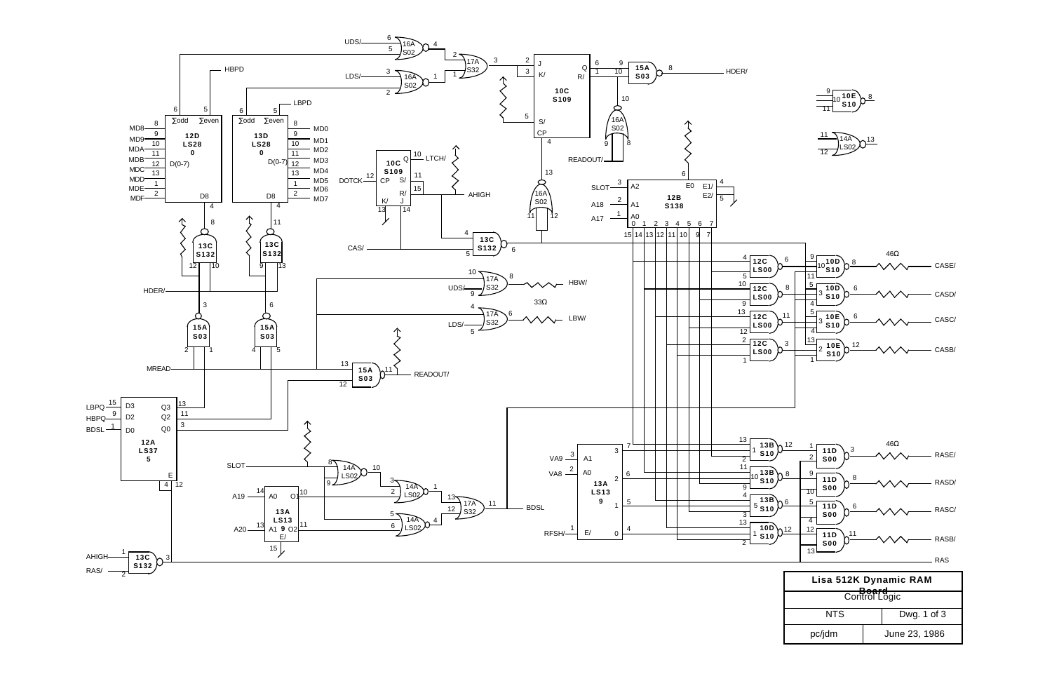

$$
\frac{9}{11}10\frac{10E}{10}
$$

$$
\frac{11}{12}
$$
14A  
13B  
13C

| Lisa 512K Dynamic RAM<br>$D - - - -$ |               |  |  |
|--------------------------------------|---------------|--|--|
| Control Logic                        |               |  |  |
| NTS                                  | Dwg. 1 of 3   |  |  |
| pc/jdm                               | June 23, 1986 |  |  |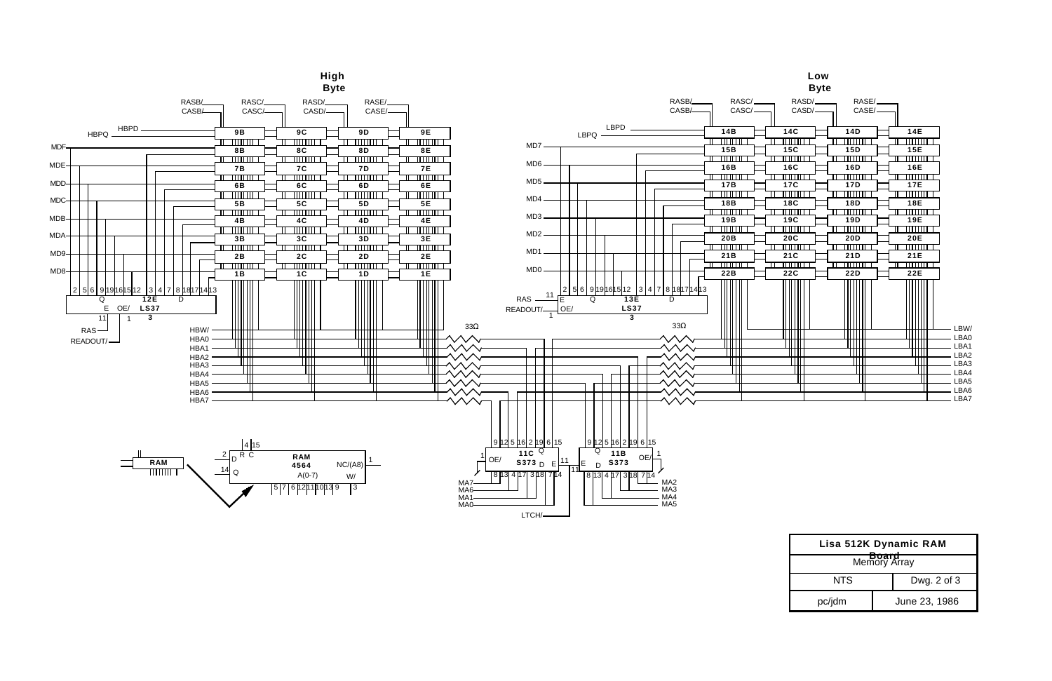| Lisa 512K Dynamic RAM |  |                 |  |
|-----------------------|--|-----------------|--|
| Memory Array          |  |                 |  |
| NTS                   |  | Dwg. $2$ of $3$ |  |
| pc/jdm                |  | June 23, 1986   |  |



|                                                                                                                       |                                                                                                                                                   | Low<br><b>Byte</b>            |                                                                                                                                |                                                                                                                             |                                      |
|-----------------------------------------------------------------------------------------------------------------------|---------------------------------------------------------------------------------------------------------------------------------------------------|-------------------------------|--------------------------------------------------------------------------------------------------------------------------------|-----------------------------------------------------------------------------------------------------------------------------|--------------------------------------|
| RASC/<br>CASC/_                                                                                                       |                                                                                                                                                   | RASD/__<br>CASD/ <sub>-</sub> | RASE/<br>CASE /                                                                                                                |                                                                                                                             |                                      |
| 14B<br>╥╥╥<br>15B<br>l III II<br>16B<br>┉<br>17B<br>ШШ<br>18B<br>┉<br>19B<br>l III II<br>20B<br>┉<br>21 B<br>┉<br>22B | 14C<br>TITTIT<br>15C<br>11   1   1   1<br>16C<br>ण्णण<br>17C<br>шш<br>18C<br>┉<br>19C<br>$\mathbf{m}$<br>20C<br>╥╥╥╥<br>21C<br>╥╥╥╥<br><b>22C</b> |                               | <b>14D</b><br>णाा।<br>15D<br>111 11 11<br>16D<br>mm<br>17D<br>गा गा<br>18D<br>mm<br>19D<br>mm<br>20D<br>mm<br>21D<br>mm<br>22D | 14E<br>mm<br>15E<br>11 11 11 11<br>16E<br>mmm<br>17E<br>mm<br>18E<br>┉<br>19E<br>11 11 11 1<br>20E<br>┉<br>21E<br>mm<br>22E | LBW/<br>LBA0<br>LBA1                 |
|                                                                                                                       |                                                                                                                                                   |                               |                                                                                                                                |                                                                                                                             | LBA2<br>LBA3<br>LBA4<br>LBA5<br>LBA6 |
|                                                                                                                       |                                                                                                                                                   |                               |                                                                                                                                |                                                                                                                             | LBA7                                 |